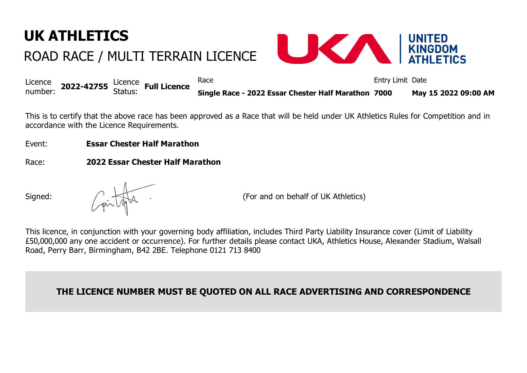## **UK ATHLETICS** ROAD RACE / MULTI TERRAIN LICENCE



|                                                    |  | Race                                                | Entry Limit Date |                      |
|----------------------------------------------------|--|-----------------------------------------------------|------------------|----------------------|
| Licence<br>number: 2022-42755 Status: Full Licence |  | Single Race - 2022 Essar Chester Half Marathon 7000 |                  | May 15 2022 09:00 AM |

This is to certify that the above race has been approved as a Race that will be held under UK Athletics Rules for Competition and in accordance with the Licence Requirements.

- Event: **Essar Chester Half Marathon**
- Race: **2022 Essar Chester Half Marathon**

Signed:  $\left(\begin{array}{ccc} \downarrow & \downarrow \\ \downarrow & \downarrow \end{array}\right)$   $\left(\begin{array}{ccc} \downarrow & \downarrow \\ \downarrow & \downarrow \end{array}\right)$  (For and on behalf of UK Athletics)

This licence, in conjunction with your governing body affiliation, includes Third Party Liability Insurance cover (Limit of Liability £50,000,000 any one accident or occurrence). For further details please contact UKA, Athletics House, Alexander Stadium, Walsall Road, Perry Barr, Birmingham, B42 2BE. Telephone 0121 713 8400

## **THE LICENCE NUMBER MUST BE QUOTED ON ALL RACE ADVERTISING AND CORRESPONDENCE**